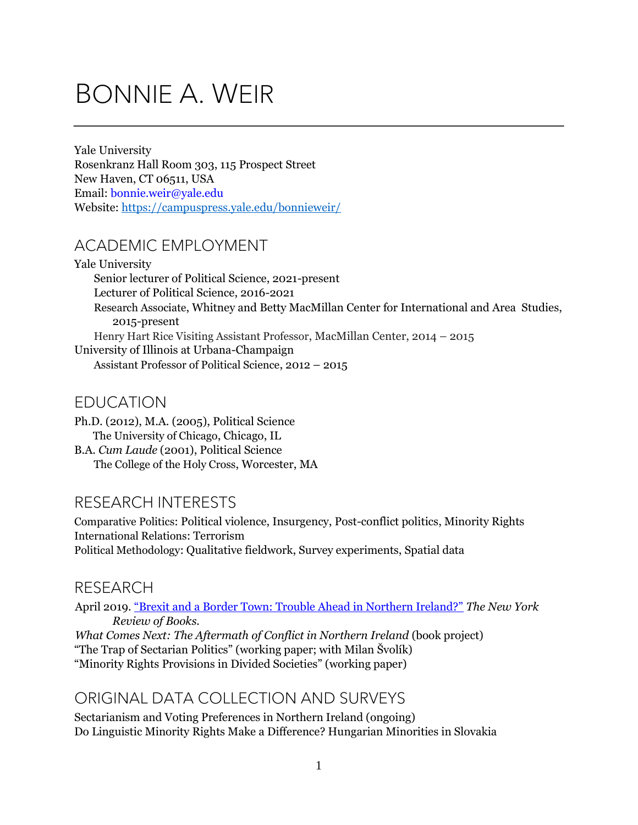# BONNIE A. WEIR

Yale University Rosenkranz Hall Room 303, 115 Prospect Street New Haven, CT 06511, USA Email: bonnie.weir@yale.edu Website: <https://campuspress.yale.edu/bonnieweir/>

# ACADEMIC EMPLOYMENT

Yale University Senior lecturer of Political Science, 2021-present Lecturer of Political Science, 2016-2021 Research Associate, Whitney and Betty MacMillan Center for International and Area Studies, 2015-present Henry Hart Rice Visiting Assistant Professor, MacMillan Center, 2014 – 2015 University of Illinois at Urbana-Champaign Assistant Professor of Political Science, 2012 – 2015

## EDUCATION

Ph.D. (2012), M.A. (2005), Political Science The University of Chicago, Chicago, IL B.A. *Cum Laude* (2001), Political Science The College of the Holy Cross, Worcester, MA

# RESEARCH INTERESTS

Comparative Politics: Political violence, Insurgency, Post-conflict politics, Minority Rights International Relations: Terrorism Political Methodology: Qualitative fieldwork, Survey experiments, Spatial data

## RESEARCH

April 2019. ["Brexit and a Border Town: Trouble Ahead in Northern Ireland?"](https://www.nybooks.com/daily/2019/04/11/brexit-and-a-border-town-troubles-ahead-in-northern-ireland/) *The New York Review of Books.* 

*What Comes Next: The Aftermath of Conflict in Northern Ireland (book project)* "The Trap of Sectarian Politics" (working paper; with Milan Švolík) "Minority Rights Provisions in Divided Societies" (working paper)

# ORIGINAL DATA COLLECTION AND SURVEYS

Sectarianism and Voting Preferences in Northern Ireland (ongoing) Do Linguistic Minority Rights Make a Difference? Hungarian Minorities in Slovakia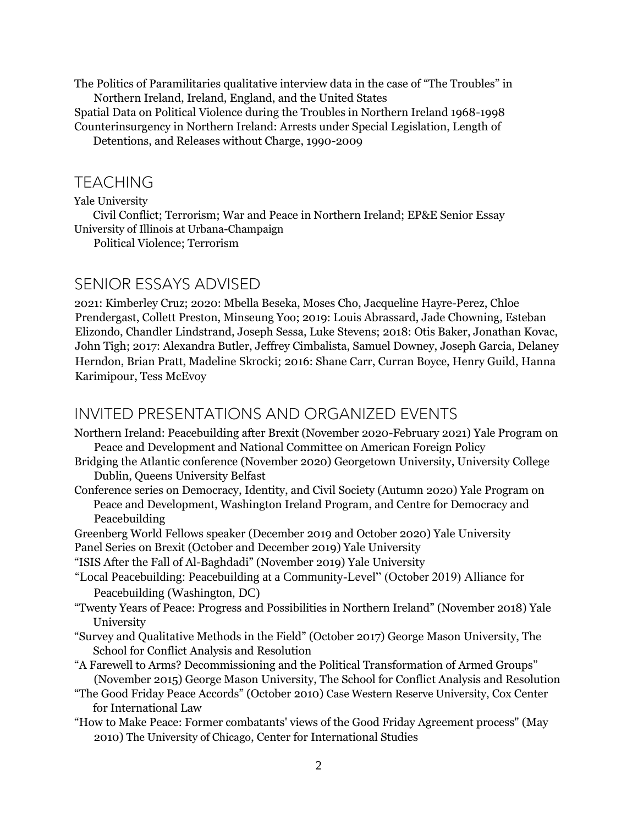The Politics of Paramilitaries qualitative interview data in the case of "The Troubles" in Northern Ireland, Ireland, England, and the United States

Spatial Data on Political Violence during the Troubles in Northern Ireland 1968-1998 Counterinsurgency in Northern Ireland: Arrests under Special Legislation, Length of

Detentions, and Releases without Charge, 1990-2009

#### TEACHING

Yale University

Civil Conflict; Terrorism; War and Peace in Northern Ireland; EP&E Senior Essay University of Illinois at Urbana-Champaign

Political Violence; Terrorism

#### SENIOR ESSAYS ADVISED

2021: Kimberley Cruz; 2020: Mbella Beseka, Moses Cho, Jacqueline Hayre-Perez, Chloe Prendergast, Collett Preston, Minseung Yoo; 2019: Louis Abrassard, Jade Chowning, Esteban Elizondo, Chandler Lindstrand, Joseph Sessa, Luke Stevens; 2018: Otis Baker, Jonathan Kovac, John Tigh; 2017: Alexandra Butler, Jeffrey Cimbalista, Samuel Downey, Joseph Garcia, Delaney Herndon, Brian Pratt, Madeline Skrocki; 2016: Shane Carr, Curran Boyce, Henry Guild, Hanna Karimipour, Tess McEvoy

#### INVITED PRESENTATIONS AND ORGANIZED EVENTS

- Northern Ireland: Peacebuilding after Brexit (November 2020-February 2021) Yale Program on Peace and Development and National Committee on American Foreign Policy
- Bridging the Atlantic conference (November 2020) Georgetown University, University College Dublin, Queens University Belfast
- Conference series on Democracy, Identity, and Civil Society (Autumn 2020) Yale Program on Peace and Development, Washington Ireland Program, and Centre for Democracy and Peacebuilding

Greenberg World Fellows speaker (December 2019 and October 2020) Yale University

Panel Series on Brexit (October and December 2019) Yale University

"ISIS After the Fall of Al-Baghdadi" (November 2019) Yale University

- "Local Peacebuilding: Peacebuilding at a Community-Level" (October 2019) Alliance for Peacebuilding (Washington, DC)
- "Twenty Years of Peace: Progress and Possibilities in Northern Ireland" (November 2018) Yale University
- "Survey and Qualitative Methods in the Field" (October 2017) George Mason University, The School for Conflict Analysis and Resolution
- "A Farewell to Arms? Decommissioning and the Political Transformation of Armed Groups" (November 2015) George Mason University, The School for Conflict Analysis and Resolution
- "The Good Friday Peace Accords" (October 2010) Case Western Reserve University, Cox Center for International Law
- "How to Make Peace: Former combatants' views of the Good Friday Agreement process" (May 2010) The University of Chicago, Center for International Studies